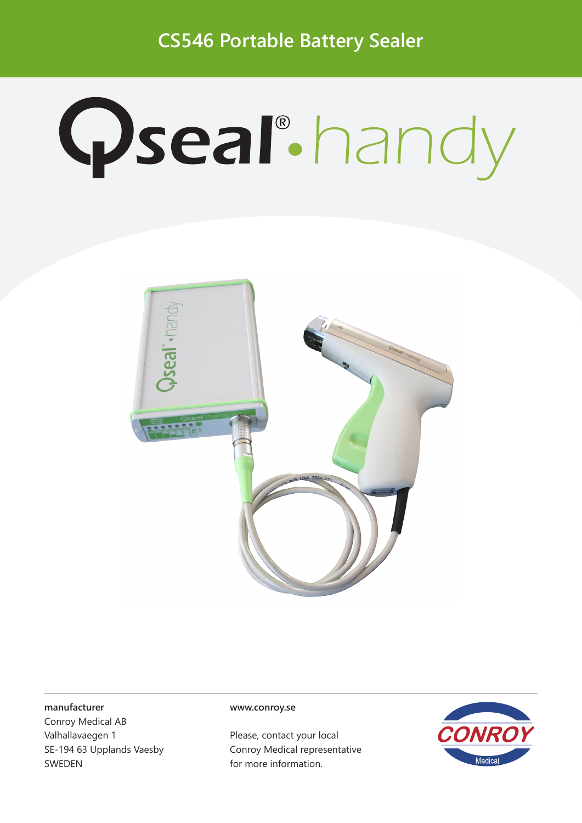**CS546 Portable Battery Sealer** 

## **Qseal** handy



## manufacturer

Conroy Medical AB Valhallavaegen 1 SE-194 63 Upplands Vaesby **SWEDEN** 

## www.conroy.se

Please, contact your local Conroy Medical representative for more information.